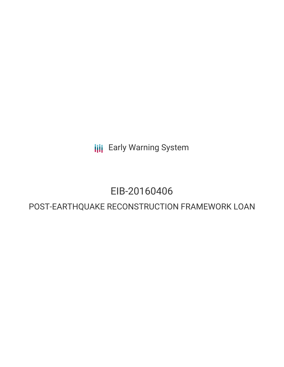**III** Early Warning System

# EIB-20160406

## POST-EARTHQUAKE RECONSTRUCTION FRAMEWORK LOAN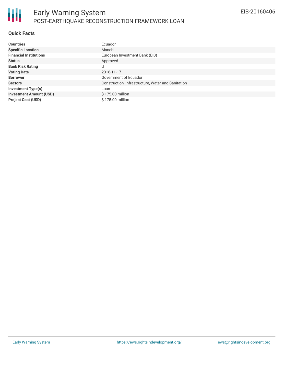#### **Quick Facts**

| <b>Countries</b>               | Ecuador                                            |
|--------------------------------|----------------------------------------------------|
| <b>Specific Location</b>       | Manabi                                             |
| <b>Financial Institutions</b>  | European Investment Bank (EIB)                     |
| <b>Status</b>                  | Approved                                           |
| <b>Bank Risk Rating</b>        | U                                                  |
| <b>Voting Date</b>             | 2016-11-17                                         |
| <b>Borrower</b>                | Government of Ecuador                              |
| <b>Sectors</b>                 | Construction, Infrastructure, Water and Sanitation |
| <b>Investment Type(s)</b>      | Loan                                               |
| <b>Investment Amount (USD)</b> | \$175.00 million                                   |
| <b>Project Cost (USD)</b>      | \$175.00 million                                   |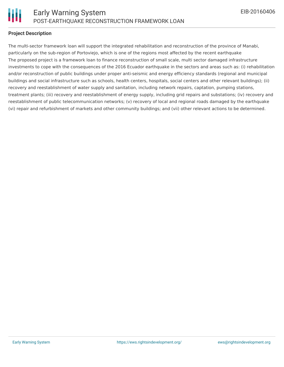

#### **Project Description**

The multi-sector framework loan will support the integrated rehabilitation and reconstruction of the province of Manabi, particularly on the sub-region of Portoviejo, which is one of the regions most affected by the recent earthquake The proposed project is a framework loan to finance reconstruction of small scale, multi sector damaged infrastructure investments to cope with the consequences of the 2016 Ecuador earthquake in the sectors and areas such as: (i) rehabilitation and/or reconstruction of public buildings under proper anti-seismic and energy efficiency standards (regional and municipal buildings and social infrastructure such as schools, health centers, hospitals, social centers and other relevant buildings); (ii) recovery and reestablishment of water supply and sanitation, including network repairs, captation, pumping stations, treatment plants; (iii) recovery and reestablishment of energy supply, including grid repairs and substations; (iv) recovery and reestablishment of public telecommunication networks; (v) recovery of local and regional roads damaged by the earthquake (vi) repair and refurbishment of markets and other community buildings; and (vii) other relevant actions to be determined.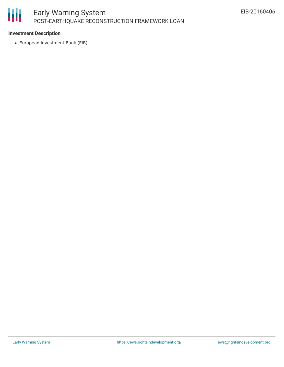# 冊

## Early Warning System POST-EARTHQUAKE RECONSTRUCTION FRAMEWORK LOAN

#### **Investment Description**

European Investment Bank (EIB)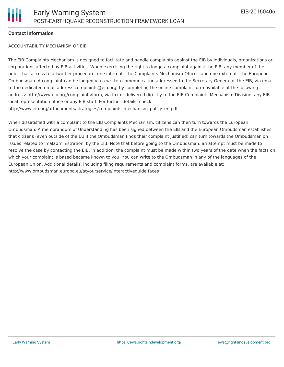#### **Contact Information**

#### ACCOUNTABILITY MECHANISM OF EIB

The EIB Complaints Mechanism is designed to facilitate and handle complaints against the EIB by individuals, organizations or corporations affected by EIB activities. When exercising the right to lodge a complaint against the EIB, any member of the public has access to a two-tier procedure, one internal - the Complaints Mechanism Office - and one external - the European Ombudsman. A complaint can be lodged via a written communication addressed to the Secretary General of the EIB, via email to the dedicated email address complaints@eib.org, by completing the online complaint form available at the following address: http://www.eib.org/complaints/form, via fax or delivered directly to the EIB Complaints Mechanism Division, any EIB local representation office or any EIB staff. For further details, check: http://www.eib.org/attachments/strategies/complaints\_mechanism\_policy\_en.pdf

When dissatisfied with a complaint to the EIB Complaints Mechanism, citizens can then turn towards the European Ombudsman. A memorandum of Understanding has been signed between the EIB and the European Ombudsman establishes that citizens (even outside of the EU if the Ombudsman finds their complaint justified) can turn towards the Ombudsman on issues related to 'maladministration' by the EIB. Note that before going to the Ombudsman, an attempt must be made to resolve the case by contacting the EIB. In addition, the complaint must be made within two years of the date when the facts on which your complaint is based became known to you. You can write to the Ombudsman in any of the languages of the European Union. Additional details, including filing requirements and complaint forms, are available at: http://www.ombudsman.europa.eu/atyourservice/interactiveguide.faces